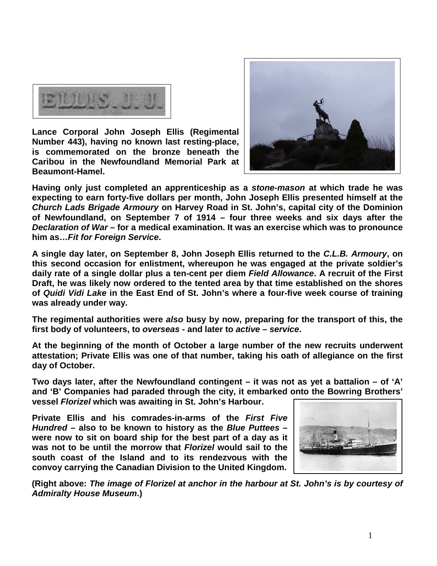

**Lance Corporal John Joseph Ellis (Regimental Number 443), having no known last resting-place, is commemorated on the bronze beneath the Caribou in the Newfoundland Memorial Park at Beaumont-Hamel.** 



**Having only just completed an apprenticeship as a** *stone-mason* **at which trade he was expecting to earn forty-five dollars per month, John Joseph Ellis presented himself at the**  *Church Lads Brigade Armoury* **on Harvey Road in St. John's, capital city of the Dominion of Newfoundland, on September 7 of 1914 – four three weeks and six days after the**  *Declaration of War* **– for a medical examination. It was an exercise which was to pronounce him as…***Fit for Foreign Service***.**

**A single day later, on September 8, John Joseph Ellis returned to the** *C.L.B. Armoury***, on this second occasion for enlistment, whereupon he was engaged at the private soldier's daily rate of a single dollar plus a ten-cent per diem** *Field Allowance***. A recruit of the First Draft, he was likely now ordered to the tented area by that time established on the shores of** *Quidi Vidi Lake* **in the East End of St. John's where a four-five week course of training was already under way.**

**The regimental authorities were** *also* **busy by now, preparing for the transport of this, the first body of volunteers, to** *overseas* **- and later to** *active* **–** *service***.**

**At the beginning of the month of October a large number of the new recruits underwent attestation; Private Ellis was one of that number, taking his oath of allegiance on the first day of October.**

**Two days later, after the Newfoundland contingent – it was not as yet a battalion – of 'A' and 'B' Companies had paraded through the city, it embarked onto the Bowring Brothers' vessel** *Florizel* **which was awaiting in St. John's Harbour.** 

**Private Ellis and his comrades-in-arms of the** *First Five Hundred* **– also to be known to history as the** *Blue Puttees* **– were now to sit on board ship for the best part of a day as it was not to be until the morrow that** *Florizel* **would sail to the south coast of the Island and to its rendezvous with the convoy carrying the Canadian Division to the United Kingdom.**



**(Right above:** *The image of Florizel at anchor in the harbour at St. John's is by courtesy of Admiralty House Museum***.)**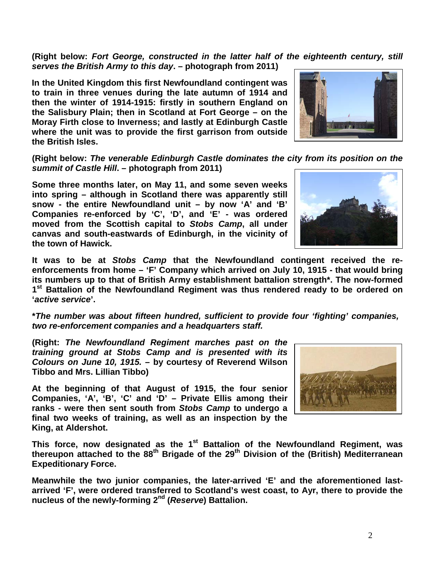**(Right below:** *Fort George, constructed in the latter half of the eighteenth century, still serves the British Army to this day***. – photograph from 2011)**

**In the United Kingdom this first Newfoundland contingent was to train in three venues during the late autumn of 1914 and then the winter of 1914-1915: firstly in southern England on the Salisbury Plain; then in Scotland at Fort George – on the Moray Firth close to Inverness; and lastly at Edinburgh Castle where the unit was to provide the first garrison from outside the British Isles.** 

**(Right below:** *The venerable Edinburgh Castle dominates the city from its position on the summit of Castle Hill***. – photograph from 2011)**

**Some three months later, on May 11, and some seven weeks into spring – although in Scotland there was apparently still snow - the entire Newfoundland unit – by now 'A' and 'B' Companies re-enforced by 'C', 'D', and 'E' - was ordered moved from the Scottish capital to** *Stobs Camp***, all under canvas and south-eastwards of Edinburgh, in the vicinity of the town of Hawick.** 



**It was to be at** *Stobs Camp* **that the Newfoundland contingent received the reenforcements from home – 'F' Company which arrived on July 10, 1915 - that would bring its numbers up to that of British Army establishment battalion strength\*. The now-formed 1st Battalion of the Newfoundland Regiment was thus rendered ready to be ordered on '***active service***'.**

**\****The number was about fifteen hundred, sufficient to provide four 'fighting' companies, two re-enforcement companies and a headquarters staff.*

**(Right:** *The Newfoundland Regiment marches past on the training ground at Stobs Camp and is presented with its Colours on June 10, 1915.* **– by courtesy of Reverend Wilson Tibbo and Mrs. Lillian Tibbo)**

**At the beginning of that August of 1915, the four senior Companies, 'A', 'B', 'C' and 'D' – Private Ellis among their ranks - were then sent south from** *Stobs Camp* **to undergo a final two weeks of training, as well as an inspection by the King, at Aldershot.** 



This force, now designated as the 1<sup>st</sup> Battalion of the Newfoundland Regiment, was **thereupon attached to the 88th Brigade of the 29th Division of the (British) Mediterranean Expeditionary Force.**

**Meanwhile the two junior companies, the later-arrived 'E' and the aforementioned lastarrived 'F', were ordered transferred to Scotland's west coast, to Ayr, there to provide the nucleus of the newly-forming 2nd (***Reserve***) Battalion.**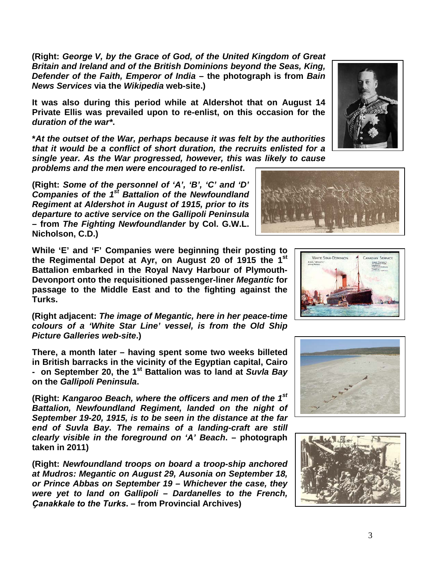**(Right:** *George V, by the Grace of God, of the United Kingdom of Great Britain and Ireland and of the British Dominions beyond the Seas, King, Defender of the Faith, Emperor of India* **– the photograph is from** *Bain News Services* **via the** *Wikipedia* **web-site.)**

**It was also during this period while at Aldershot that on August 14 Private Ellis was prevailed upon to re-enlist, on this occasion for the**  *duration of the war\****.**

**\****At the outset of the War, perhaps because it was felt by the authorities that it would be a conflict of short duration, the recruits enlisted for a single year. As the War progressed, however, this was likely to cause* 

*problems and the men were encouraged to re-enlist***.**

**(Right:** *Some of the personnel of 'A', 'B', 'C' and 'D' Companies of the 1st Battalion of the Newfoundland Regiment at Aldershot in August of 1915, prior to its departure to active service on the Gallipoli Peninsula*  **– from** *The Fighting Newfoundlander* **by Col. G.W.L. Nicholson, C.D.)**

**While 'E' and 'F' Companies were beginning their posting to the Regimental Depot at Ayr, on August 20 of 1915 the 1st Battalion embarked in the Royal Navy Harbour of Plymouth-Devonport onto the requisitioned passenger-liner** *Megantic* **for passage to the Middle East and to the fighting against the Turks.** 

**(Right adjacent:** *The image of Megantic, here in her peace-time colours of a 'White Star Line' vessel, is from the Old Ship Picture Galleries web-site***.)**

**There, a month later – having spent some two weeks billeted in British barracks in the vicinity of the Egyptian capital, Cairo - on September 20, the 1st Battalion was to land at** *Suvla Bay* **on the** *Gallipoli Peninsula***.**

**(Right:** *Kangaroo Beach, where the officers and men of the 1st Battalion, Newfoundland Regiment, landed on the night of September 19-20, 1915, is to be seen in the distance at the far end of Suvla Bay. The remains of a landing-craft are still clearly visible in the foreground on 'A' Beach***. – photograph taken in 2011)**

**(Right:** *Newfoundland troops on board a troop-ship anchored at Mudros: Megantic on August 29, Ausonia on September 18, or Prince Abbas on September 19 – Whichever the case, they were yet to land on Gallipoli – Dardanelles to the French, Ҫanakkale to the Turks***. – from Provincial Archives)**









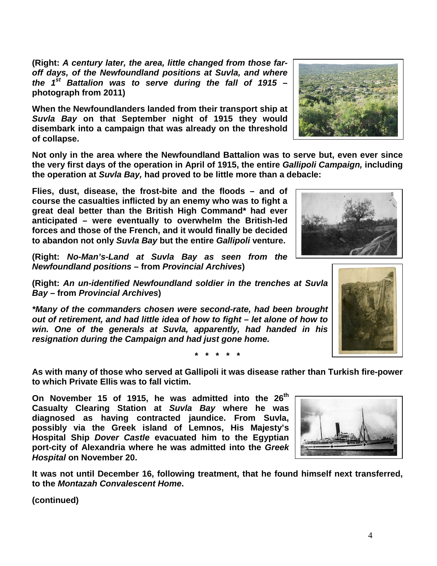**(Right:** *A century later, the area, little changed from those faroff days, of the Newfoundland positions at Suvla, and where the 1st Battalion was to serve during the fall of 1915* **– photograph from 2011)**

**When the Newfoundlanders landed from their transport ship at**  *Suvla Bay* **on that September night of 1915 they would disembark into a campaign that was already on the threshold of collapse.**

**Not only in the area where the Newfoundland Battalion was to serve but, even ever since the very first days of the operation in April of 1915, the entire** *Gallipoli Campaign,* **including the operation at** *Suvla Bay,* **had proved to be little more than a debacle:** 

**Flies, dust, disease, the frost-bite and the floods – and of course the casualties inflicted by an enemy who was to fight a great deal better than the British High Command\* had ever anticipated – were eventually to overwhelm the British-led forces and those of the French, and it would finally be decided to abandon not only** *Suvla Bay* **but the entire** *Gallipoli* **venture.**

**(Right:** *No-Man's-Land at Suvla Bay as seen from the Newfoundland positions* **– from** *Provincial Archives***)**

**(Right:** *An un-identified Newfoundland soldier in the trenches at Suvla Bay –* **from** *Provincial Archives***)**

*\*Many of the commanders chosen were second-rate, had been brought out of retirement, and had little idea of how to fight – let alone of how to win. One of the generals at Suvla, apparently, had handed in his resignation during the Campaign and had just gone home.* 

**\* \* \* \* \***

**As with many of those who served at Gallipoli it was disease rather than Turkish fire-power to which Private Ellis was to fall victim.** 

**On November 15 of 1915, he was admitted into the 26th Casualty Clearing Station at** *Suvla Bay* **where he was diagnosed as having contracted jaundice. From Suvla, possibly via the Greek island of Lemnos, His Majesty's Hospital Ship** *Dover Castle* **evacuated him to the Egyptian port-city of Alexandria where he was admitted into the** *Greek Hospital* **on November 20.** 

**It was not until December 16, following treatment, that he found himself next transferred, to the** *Montazah Convalescent Home***.**







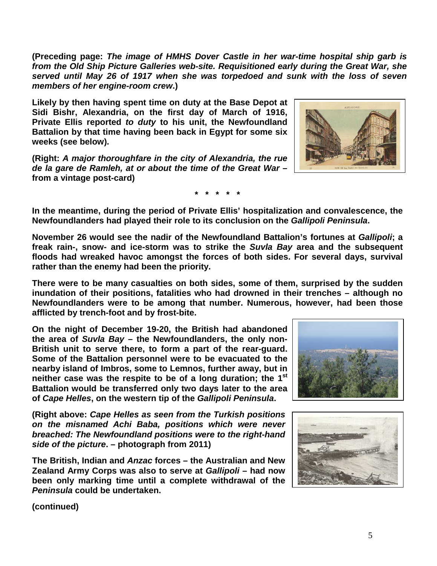**(Preceding page:** *The image of HMHS Dover Castle in her war-time hospital ship garb is from the Old Ship Picture Galleries web-site. Requisitioned early during the Great War, she served until May 26 of 1917 when she was torpedoed and sunk with the loss of seven members of her engine-room crew***.)**

**Likely by then having spent time on duty at the Base Depot at Sidi Bishr, Alexandria, on the first day of March of 1916, Private Ellis reported** *to duty* **to his unit, the Newfoundland Battalion by that time having been back in Egypt for some six weeks (see below).**

**(Right:** *A major thoroughfare in the city of Alexandria, the rue de la gare de Ramleh, at or about the time of the Great War* **– from a vintage post-card)**

**\* \* \* \* \***

**In the meantime, during the period of Private Ellis' hospitalization and convalescence, the Newfoundlanders had played their role to its conclusion on the** *Gallipoli Peninsula***.**

**November 26 would see the nadir of the Newfoundland Battalion's fortunes at** *Gallipoli***; a freak rain-, snow- and ice-storm was to strike the** *Suvla Bay* **area and the subsequent floods had wreaked havoc amongst the forces of both sides. For several days, survival rather than the enemy had been the priority.**

**There were to be many casualties on both sides, some of them, surprised by the sudden inundation of their positions, fatalities who had drowned in their trenches – although no Newfoundlanders were to be among that number. Numerous, however, had been those afflicted by trench-foot and by frost-bite.**

**On the night of December 19-20, the British had abandoned the area of** *Suvla Bay* **– the Newfoundlanders, the only non-British unit to serve there, to form a part of the rear-guard. Some of the Battalion personnel were to be evacuated to the nearby island of Imbros, some to Lemnos, further away, but in neither case was the respite to be of a long duration; the 1st Battalion would be transferred only two days later to the area of** *Cape Helles***, on the western tip of the** *Gallipoli Peninsula***.**

**(Right above:** *Cape Helles as seen from the Turkish positions on the misnamed Achi Baba, positions which were never breached: The Newfoundland positions were to the right-hand side of the picture***. – photograph from 2011)**

**The British, Indian and** *Anzac* **forces – the Australian and New Zealand Army Corps was also to serve at** *Gallipoli* **– had now been only marking time until a complete withdrawal of the**  *Peninsula* **could be undertaken.** 





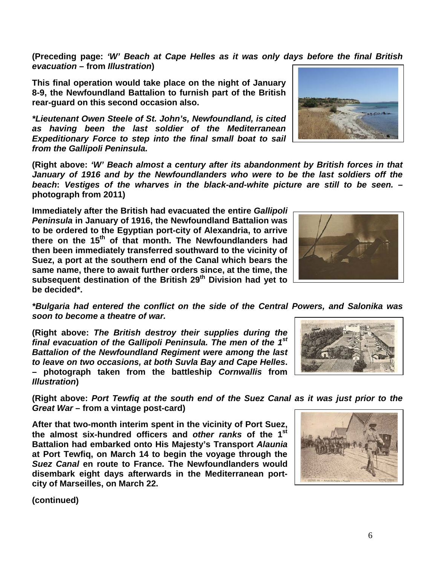6

**(Preceding page:** *'W' Beach at Cape Helles as it was only days before the final British evacuation* **– from** *Illustration***)**

**This final operation would take place on the night of January 8-9, the Newfoundland Battalion to furnish part of the British rear-guard on this second occasion also.**

*\*Lieutenant Owen Steele of St. John's, Newfoundland, is cited as having been the last soldier of the Mediterranean Expeditionary Force to step into the final small boat to sail from the Gallipoli Peninsula.*

**(Right above:** *'W' Beach almost a century after its abandonment by British forces in that January of 1916 and by the Newfoundlanders who were to be the last soldiers off the beach***:** *Vestiges of the wharves in the black-and-white picture are still to be seen.* **– photograph from 2011)**

**Immediately after the British had evacuated the entire** *Gallipoli Peninsula* **in January of 1916, the Newfoundland Battalion was to be ordered to the Egyptian port-city of Alexandria, to arrive there on the 15th of that month. The Newfoundlanders had then been immediately transferred southward to the vicinity of Suez, a port at the southern end of the Canal which bears the same name, there to await further orders since, at the time, the subsequent destination of the British 29th Division had yet to be decided\*.**

*\*Bulgaria had entered the conflict on the side of the Central Powers, and Salonika was soon to become a theatre of war.*

**(Right above:** *The British destroy their supplies during the final evacuation of the Gallipoli Peninsula. The men of the 1st Battalion of the Newfoundland Regiment were among the last to leave on two occasions, at both Suvla Bay and Cape Helles***. – photograph taken from the battleship** *Cornwallis* **from**  *Illustration***)**

**(Right above:** *Port Tewfiq at the south end of the Suez Canal as it was just prior to the Great War* **– from a vintage post-card)**

**After that two-month interim spent in the vicinity of Port Suez, the almost six-hundred officers and** *other ranks* **of the 1st Battalion had embarked onto His Majesty's Transport** *Alaunia* **at Port Tewfiq, on March 14 to begin the voyage through the**  *Suez Canal* **en route to France. The Newfoundlanders would disembark eight days afterwards in the Mediterranean portcity of Marseilles, on March 22.**







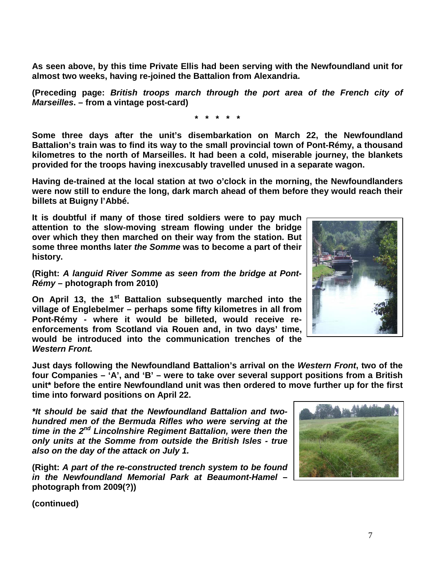**As seen above, by this time Private Ellis had been serving with the Newfoundland unit for almost two weeks, having re-joined the Battalion from Alexandria.**

**(Preceding page:** *British troops march through the port area of the French city of Marseilles***. – from a vintage post-card)**

**\* \* \* \* \***

**Some three days after the unit's disembarkation on March 22, the Newfoundland Battalion's train was to find its way to the small provincial town of Pont-Rémy, a thousand kilometres to the north of Marseilles. It had been a cold, miserable journey, the blankets provided for the troops having inexcusably travelled unused in a separate wagon.**

**Having de-trained at the local station at two o'clock in the morning, the Newfoundlanders were now still to endure the long, dark march ahead of them before they would reach their billets at Buigny l'Abbé.**

**It is doubtful if many of those tired soldiers were to pay much attention to the slow-moving stream flowing under the bridge over which they then marched on their way from the station. But some three months later** *the Somme* **was to become a part of their history.**

**(Right:** *A languid River Somme as seen from the bridge at Pont-Rémy* **– photograph from 2010)**

**On April 13, the 1<sup>st</sup> Battalion subsequently marched into the village of Englebelmer – perhaps some fifty kilometres in all from Pont-Rémy - where it would be billeted, would receive reenforcements from Scotland via Rouen and, in two days' time, would be introduced into the communication trenches of the**  *Western Front.*

**Just days following the Newfoundland Battalion's arrival on the** *Western Front***, two of the four Companies – 'A', and 'B' – were to take over several support positions from a British unit\* before the entire Newfoundland unit was then ordered to move further up for the first time into forward positions on April 22.**

*\*It should be said that the Newfoundland Battalion and twohundred men of the Bermuda Rifles who were serving at the time in the 2nd Lincolnshire Regiment Battalion, were then the only units at the Somme from outside the British Isles - true also on the day of the attack on July 1.*

**(Right:** *A part of the re-constructed trench system to be found in the Newfoundland Memorial Park at Beaumont-Hamel* **– photograph from 2009(?))**



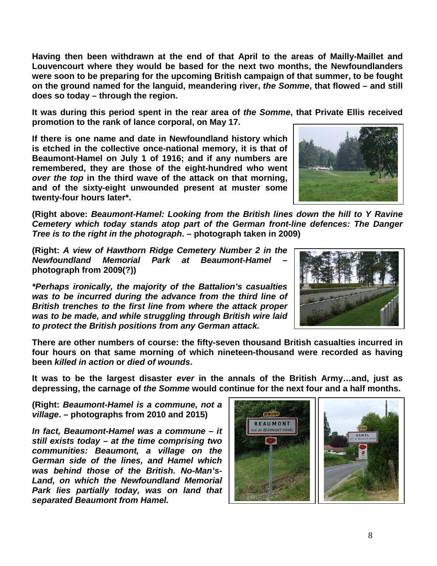**Having then been withdrawn at the end of that April to the areas of Mailly-Maillet and Louvencourt where they would be based for the next two months, the Newfoundlanders were soon to be preparing for the upcoming British campaign of that summer, to be fought on the ground named for the languid, meandering river,** *the Somme***, that flowed – and still does so today – through the region.**

**It was during this period spent in the rear area of** *the Somme***, that Private Ellis received promotion to the rank of lance corporal, on May 17.**

**If there is one name and date in Newfoundland history which is etched in the collective once-national memory, it is that of Beaumont-Hamel on July 1 of 1916; and if any numbers are remembered, they are those of the eight-hundred who went**  *over the top* **in the third wave of the attack on that morning, and of the sixty-eight unwounded present at muster some twenty-four hours later\*.**

**(Right above:** *Beaumont-Hamel: Looking from the British lines down the hill to Y Ravine Cemetery which today stands atop part of the German front-line defences: The Danger Tree is to the right in the photograph***. – photograph taken in 2009)**

**(Right:** *A view of Hawthorn Ridge Cemetery Number 2 in the Newfoundland Memorial Park at Beaumont-Hamel* **– photograph from 2009(?))**

*\*Perhaps ironically, the majority of the Battalion's casualties was to be incurred during the advance from the third line of British trenches to the first line from where the attack proper was to be made, and while struggling through British wire laid to protect the British positions from any German attack.*



**There are other numbers of course: the fifty-seven thousand British casualties incurred in four hours on that same morning of which nineteen-thousand were recorded as having been** *killed in action* **or** *died of wounds***.** 

**It was to be the largest disaster** *ever* **in the annals of the British Army…and, just as depressing, the carnage of** *the Somme* **would continue for the next four and a half months.**

**(Right:** *Beaumont-Hamel is a commune, not a village***. – photographs from 2010 and 2015)**

*In fact, Beaumont-Hamel was a commune – it still exists today – at the time comprising two communities: Beaumont, a village on the German side of the lines, and Hamel which was behind those of the British. No-Man's-Land, on which the Newfoundland Memorial Park lies partially today, was on land that separated Beaumont from Hamel.*